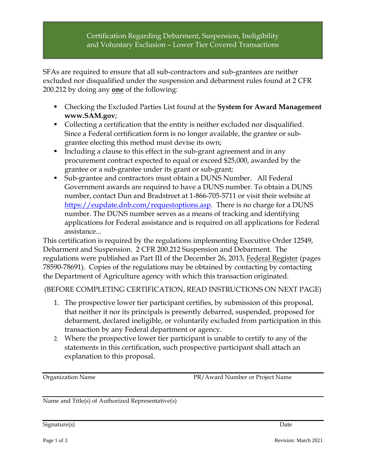## Certification Regarding Debarment, Suspension, Ineligibility and Voluntary Exclusion – Lower Tier Covered Transactions

SFAs are required to ensure that all sub-contractors and sub-grantees are neither excluded nor disqualified under the suspension and debarment rules found at 2 CFR 200.212 by doing any **one** of the following:

- Checking the Excluded Parties List found at the **System for Award Management www.SAM.gov**;
- Collecting a certification that the entity is neither excluded nor disqualified. Since a Federal certification form is no longer available, the grantee or subgrantee electing this method must devise its own;
- Including a clause to this effect in the sub-grant agreement and in any procurement contract expected to equal or exceed \$25,000, awarded by the grantee or a sub-grantee under its grant or sub-grant;
- Sub-grantee and contractors must obtain a DUNS Number. All Federal Government awards are required to have a DUNS number. To obtain a DUNS number, contact Dun and Bradstreet at 1-866-705-5711 or visit their website at [https://eupdate.dnb.com/requestoptions.asp.](https://eupdate.dnb.com/requestoptions.asp) There is no charge for a DUNS number. The DUNS number serves as a means of tracking and identifying applications for Federal assistance and is required on all applications for Federal assistance...

This certification is required by the regulations implementing Executive Order 12549, Debarment and Suspension. 2 CFR 200.212 Suspension and Debarment. The regulations were published as Part III of the December 26, 2013, Federal Register (pages 78590-78691). Copies of the regulations may be obtained by contacting by contacting the Department of Agriculture agency with which this transaction originated.

(BEFORE COMPLETING CERTIFICATION, READ INSTRUCTIONS ON NEXT PAGE)

- 1. The prospective lower tier participant certifies, by submission of this proposal, that neither it nor its principals is presently debarred, suspended, proposed for debarment, declared ineligible, or voluntarily excluded from participation in this transaction by any Federal department or agency.
- 2. Where the prospective lower tier participant is unable to certify to any of the statements in this certification, such prospective participant shall attach an explanation to this proposal.

Organization Name PR/Award Number or Project Name

Name and Title(s) of Authorized Representative(s)

Signature(s) Date Date of the Second Second Second Second Second Second Second Second Second Second Second Second Second Second Second Second Second Second Second Second Second Second Second Second Second Second Second Sec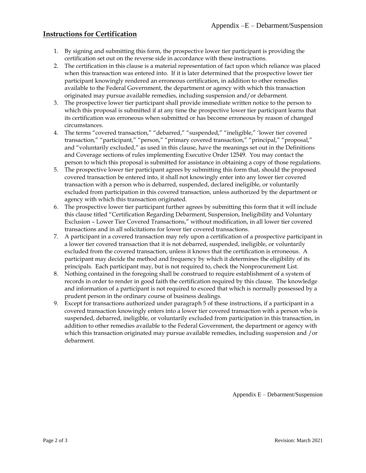## **Instructions for Certification**

- 1. By signing and submitting this form, the prospective lower tier participant is providing the certification set out on the reverse side in accordance with these instructions.
- 2. The certification in this clause is a material representation of fact upon which reliance was placed when this transaction was entered into. If it is later determined that the prospective lower tier participant knowingly rendered an erroneous certification, in addition to other remedies available to the Federal Government, the department or agency with which this transaction originated may pursue available remedies, including suspension and/or debarment.
- 3. The prospective lower tier participant shall provide immediate written notice to the person to which this proposal is submitted if at any time the prospective lower tier participant learns that its certification was erroneous when submitted or has become erroneous by reason of changed circumstances.
- 4. The terms "covered transaction," "debarred," "suspended," "ineligible," 'lower tier covered transaction," "participant," "person," "primary covered transaction," "principal," "proposal," and "voluntarily excluded," as used in this clause, have the meanings set out in the Definitions and Coverage sections of rules implementing Executive Order 12549. You may contact the person to which this proposal is submitted for assistance in obtaining a copy of those regulations.
- 5. The prospective lower tier participant agrees by submitting this form that, should the proposed covered transaction be entered into, it shall not knowingly enter into any lower tier covered transaction with a person who is debarred, suspended, declared ineligible, or voluntarily excluded from participation in this covered transaction, unless authorized by the department or agency with which this transaction originated.
- 6. The prospective lower tier participant further agrees by submitting this form that it will include this clause titled "Certification Regarding Debarment, Suspension, Ineligibility and Voluntary Exclusion – Lower Tier Covered Transactions," without modification, in all lower tier covered transactions and in all solicitations for lower tier covered transactions.
- 7. A participant in a covered transaction may rely upon a certification of a prospective participant in a lower tier covered transaction that it is not debarred, suspended, ineligible, or voluntarily excluded from the covered transaction, unless it knows that the certification is erroneous. A participant may decide the method and frequency by which it determines the eligibility of its principals. Each participant may, but is not required to, check the Nonprocurement List.
- 8. Nothing contained in the foregoing shall be construed to require establishment of a system of records in order to render in good faith the certification required by this clause. The knowledge and information of a participant is not required to exceed that which is normally possessed by a prudent person in the ordinary course of business dealings.
- 9. Except for transactions authorized under paragraph 5 of these instructions, if a participant in a covered transaction knowingly enters into a lower tier covered transaction with a person who is suspended, debarred, ineligible, or voluntarily excluded from participation in this transaction, in addition to other remedies available to the Federal Government, the department or agency with which this transaction originated may pursue available remedies, including suspension and /or debarment.

Appendix E – Debarment/Suspension